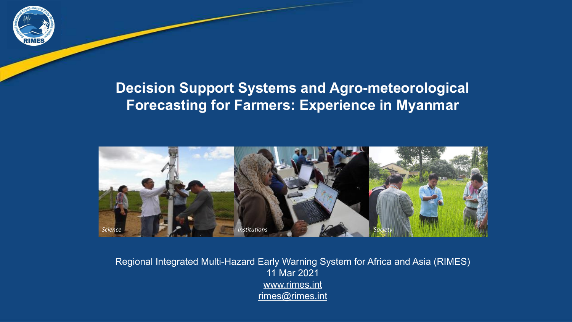

### **Decision Support Systems and Agro-meteorological Forecasting for Farmers: Experience in Myanmar**



Regional Integrated Multi-Hazard Early Warning System for Africa and Asia (RIMES) 11 Mar 2021 [www.rimes.int](http://www.rimes.int/) [rimes@rimes.int](mailto:rimes@rimes.int)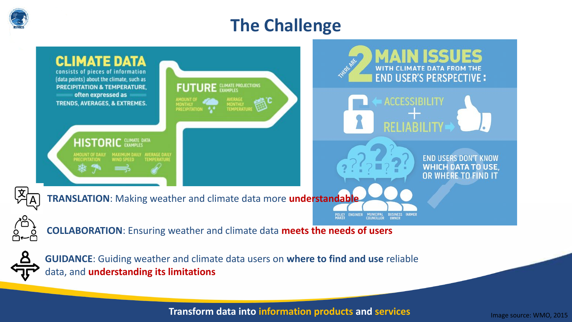

# **The Challenge**



data, and **understanding its limitations**

**Transform data into information products and services**

Image source: WMO, 2015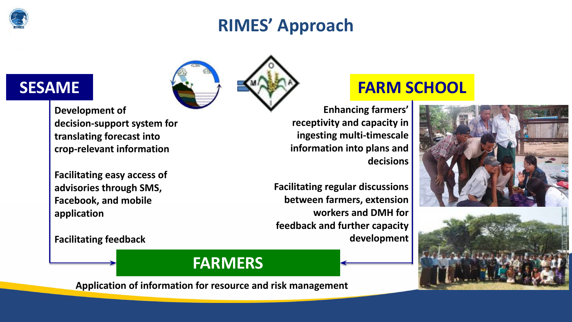

# **RIMES' Approach**



**Development of decision-support system for translating forecast into crop-relevant information** 

**Facilitating easy access of advisories through SMS, Facebook, and mobile application**

**Facilitating feedback**

**FARMERS**

**Application of information for resource and risk management**

## **SESAME FARM SCHOOL**

**Enhancing farmers' receptivity and capacity in ingesting multi-timescale information into plans and decisions**

**Facilitating regular discussions between farmers, extension workers and DMH for feedback and further capacity development** 

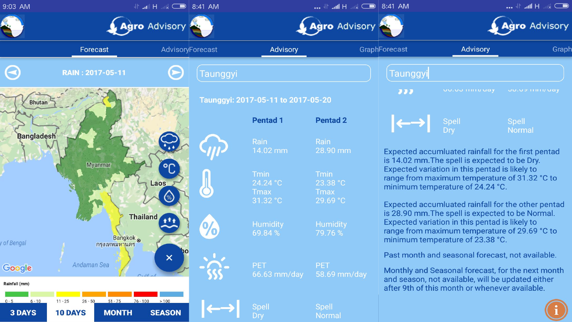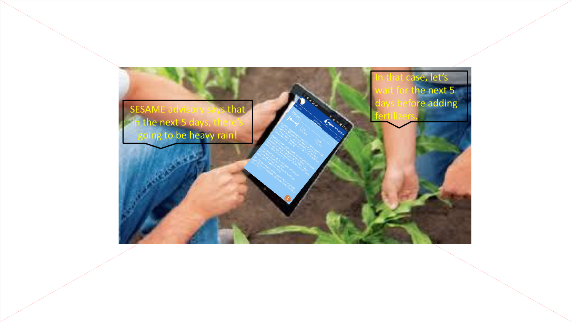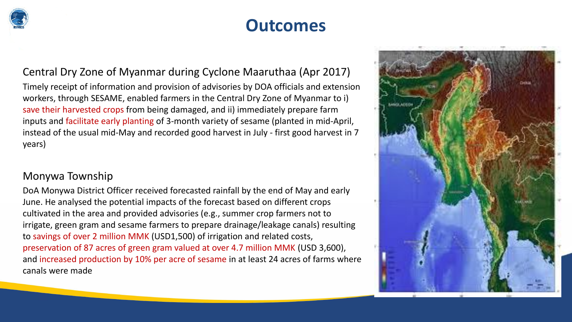

# **Outcomes**

#### Central Dry Zone of Myanmar during Cyclone Maaruthaa (Apr 2017)

Timely receipt of information and provision of advisories by DOA officials and extension workers, through SESAME, enabled farmers in the Central Dry Zone of Myanmar to i) save their harvested crops from being damaged, and ii) immediately prepare farm inputs and facilitate early planting of 3-month variety of sesame (planted in mid-April, instead of the usual mid-May and recorded good harvest in July - first good harvest in 7 years)

#### Monywa Township

DoA Monywa District Officer received forecasted rainfall by the end of May and early June. He analysed the potential impacts of the forecast based on different crops cultivated in the area and provided advisories (e.g., summer crop farmers not to irrigate, green gram and sesame farmers to prepare drainage/leakage canals) resulting to savings of over 2 million MMK (USD1,500) of irrigation and related costs, preservation of 87 acres of green gram valued at over 4.7 million MMK (USD 3,600), and increased production by 10% per acre of sesame in at least 24 acres of farms where canals were made